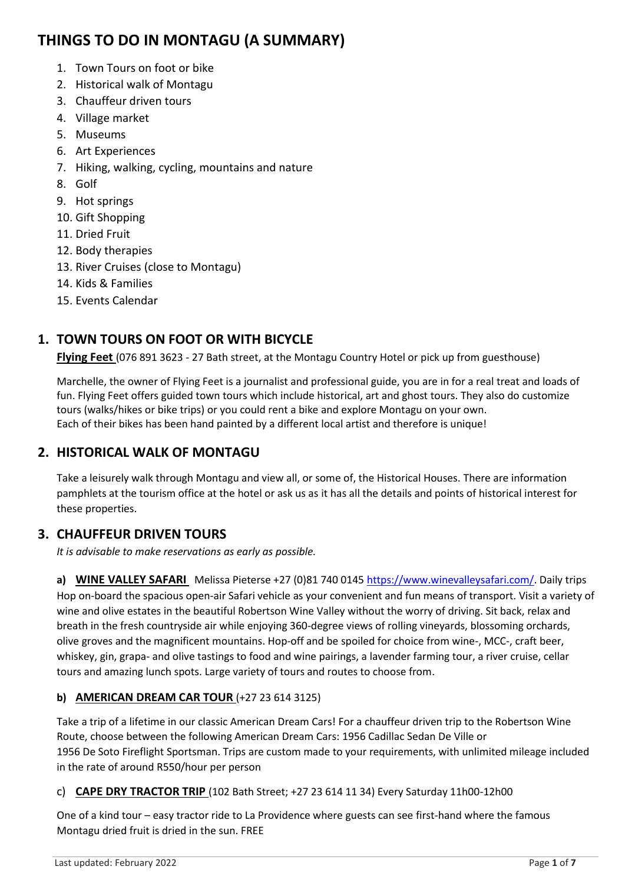# **THINGS TO DO IN MONTAGU (A SUMMARY)**

- 1. Town Tours on foot or bike
- 2. Historical walk of Montagu
- 3. Chauffeur driven tours
- 4. Village market
- 5. Museums
- 6. Art Experiences
- 7. Hiking, walking, cycling, mountains and nature
- 8. Golf
- 9. Hot springs
- 10. Gift Shopping
- 11. Dried Fruit
- 12. Body therapies
- 13. River Cruises (close to Montagu)
- 14. Kids & Families
- 15. Events Calendar

# **1. TOWN TOURS ON FOOT OR WITH BICYCLE**

**Flying Feet** (076 891 3623 - 27 Bath street, at the Montagu Country Hotel or pick up from guesthouse)

Marchelle, the owner of Flying Feet is a journalist and professional guide, you are in for a real treat and loads of fun. Flying Feet offers guided town tours which include historical, art and ghost tours. They also do customize tours (walks/hikes or bike trips) or you could rent a bike and explore Montagu on your own. Each of their bikes has been hand painted by a different local artist and therefore is unique!

# **2. HISTORICAL WALK OF MONTAGU**

Take a leisurely walk through Montagu and view all, or some of, the Historical Houses. There are information pamphlets at the tourism office at the hotel or ask us as it has all the details and points of historical interest for these properties.

# **3. CHAUFFEUR DRIVEN TOURS**

*It is advisable to make reservations as early as possible.*

**a) WINE VALLEY SAFARI** Melissa Pieterse +27 (0)81 740 0145 [https://www.winevalleysafari.com/.](https://www.winevalleysafari.com/) Daily trips Hop on-board the spacious open-air Safari vehicle as your convenient and fun means of transport. Visit a variety of wine and olive estates in the beautiful Robertson Wine Valley without the worry of driving. Sit back, relax and breath in the fresh countryside air while enjoying 360-degree views of rolling vineyards, blossoming orchards, olive groves and the magnificent mountains. Hop-off and be spoiled for choice from wine-, MCC-, craft beer, whiskey, gin, grapa- and olive tastings to food and wine pairings, a lavender farming tour, a river cruise, cellar tours and amazing lunch spots. Large variety of tours and routes to choose from.

## **b) AMERICAN DREAM CAR TOUR** (+27 23 614 3125)

Take a trip of a lifetime in our classic American Dream Cars! For a chauffeur driven trip to the Robertson Wine Route, choose between the following American Dream Cars: 1956 Cadillac Sedan De Ville or 1956 De Soto Fireflight Sportsman. Trips are custom made to your requirements, with unlimited mileage included in the rate of around R550/hour per person

## c) **CAPE DRY TRACTOR TRIP** (102 Bath Street; +27 23 614 11 34) Every Saturday 11h00-12h00

One of a kind tour – easy tractor ride to La Providence where guests can see first-hand where the famous Montagu dried fruit is dried in the sun. FREE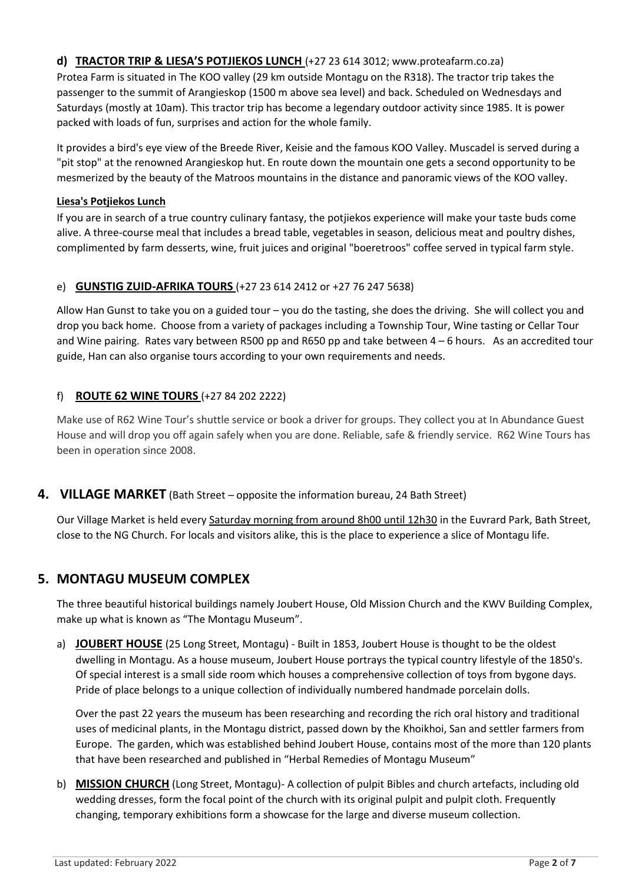### **d) TRACTOR TRIP & LIESA'S POTJIEKOS LUNCH** [\(+27 23 614 3012;](tel:+27236143012) [www.proteafarm.co.za\)](http://www.proteafarm.co.za/)

Protea Farm is situated in The KOO valley (29 km outside Montagu on the R318). The tractor trip takes the passenger to the summit of Arangieskop (1500 m above sea level) and back. Scheduled on Wednesdays and Saturdays (mostly at 10am). This tractor trip has become a legendary outdoor activity since 1985. It is power packed with loads of fun, surprises and action for the whole family.

It provides a bird's eye view of the Breede River, Keisie and the famous KOO Valley. Muscadel is served during a "pit stop" at the renowned Arangieskop hut. En route down the mountain one gets a second opportunity to be mesmerized by the beauty of the Matroos mountains in the distance and panoramic views of the KOO valley.

### **Liesa's Potjiekos Lunch**

If you are in search of a true country culinary fantasy, the potjiekos experience will make your taste buds come alive. A three-course meal that includes a bread table, vegetables in season, delicious meat and poultry dishes, complimented by farm desserts, wine, fruit juices and original "boeretroos" coffee served in typical farm style.

### e) **GUNSTIG ZUID-AFRIKA TOURS** (+27 23 614 2412 or +27 76 247 5638)

Allow Han Gunst to take you on a guided tour – you do the tasting, she does the driving. She will collect you and drop you back home. Choose from a variety of packages including a Township Tour, Wine tasting or Cellar Tour and Wine pairing. Rates vary between R500 pp and R650 pp and take between 4 – 6 hours. As an accredited tour guide, Han can also organise tours according to your own requirements and needs.

### f) **ROUTE 62 WINE TOURS** (+27 84 202 2222)

Make use of R62 Wine Tour's shuttle service or book a driver for groups. They collect you at In Abundance Guest House and will drop you off again safely when you are done. Reliable, safe & friendly service. R62 Wine Tours has been in operation since 2008.

### **4. VILLAGE MARKET** (Bath Street – opposite the information bureau, 24 Bath Street)

Our Village Market is held every Saturday morning from around 8h00 until 12h30 in the Euvrard Park, Bath Street, close to the NG Church. For locals and visitors alike, this is the place to experience a slice of Montagu life.

## **5. MONTAGU MUSEUM COMPLEX**

The three beautiful historical buildings namely Joubert House, Old Mission Church and the KWV Building Complex, make up what is known as "The Montagu Museum".

a) **JOUBERT HOUSE** (25 Long Street, Montagu) - Built in 1853, Joubert House is thought to be the oldest dwelling in Montagu. As a house museum, Joubert House portrays the typical country lifestyle of the 1850's. Of special interest is a small side room which houses a comprehensive collection of toys from bygone days. Pride of place belongs to a unique collection of individually numbered handmade porcelain dolls.

Over the past 22 years the museum has been researching and recording the rich oral history and traditional uses of medicinal plants, in the Montagu district, passed down by the Khoikhoi, San and settler farmers from Europe. The garden, which was established behind Joubert House, contains most of the more than 120 plants that have been researched and published in "Herbal Remedies of Montagu Museum"

b) **MISSION CHURCH** (Long Street, Montagu)- A collection of pulpit Bibles and church artefacts, including old wedding dresses, form the focal point of the church with its original pulpit and pulpit cloth. Frequently changing, temporary exhibitions form a showcase for the large and diverse museum collection.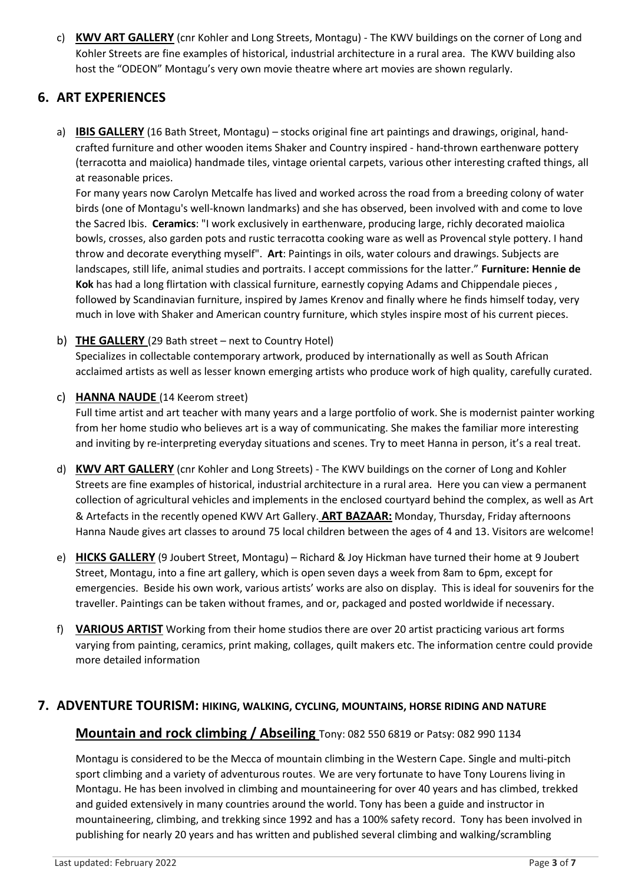c) **KWV ART GALLERY** (cnr Kohler and Long Streets, Montagu) - The KWV buildings on the corner of Long and Kohler Streets are fine examples of historical, industrial architecture in a rural area. The KWV building also host the "ODEON" Montagu's very own movie theatre where art movies are shown regularly.

# **6. ART EXPERIENCES**

a) **IBIS GALLERY** (16 Bath Street, Montagu) – stocks original fine art paintings and drawings, original, handcrafted furniture and other wooden items Shaker and Country inspired - hand-thrown earthenware pottery (terracotta and maiolica) handmade tiles, vintage oriental carpets, various other interesting crafted things, all at reasonable prices.

For many years now Carolyn Metcalfe has lived and worked across the road from a breeding colony of water birds (one of Montagu's well-known landmarks) and she has observed, been involved with and come to love the Sacred Ibis. **Ceramics**: "I work exclusively in earthenware, producing large, richly decorated maiolica bowls, crosses, also garden pots and rustic terracotta cooking ware as well as Provencal style pottery. I hand throw and decorate everything myself". **Art**: Paintings in oils, water colours and drawings. Subjects are landscapes, still life, animal studies and portraits. I accept commissions for the latter." **Furniture: Hennie de Kok** has had a long flirtation with classical furniture, earnestly copying Adams and Chippendale pieces , followed by Scandinavian furniture, inspired by James Krenov and finally where he finds himself today, very much in love with Shaker and American country furniture, which styles inspire most of his current pieces.

b) **THE GALLERY** (29 Bath street – next to Country Hotel)

Specializes in collectable contemporary artwork, produced by internationally as well as South African acclaimed artists as well as lesser known emerging artists who produce work of high quality, carefully curated.

#### c) **HANNA NAUDE** (14 Keerom street)

Full time artist and art teacher with many years and a large portfolio of work. She is modernist painter working from her home studio who believes art is a way of communicating. She makes the familiar more interesting and inviting by re-interpreting everyday situations and scenes. Try to meet Hanna in person, it's a real treat.

- d) **KWV ART GALLERY** (cnr Kohler and Long Streets) The KWV buildings on the corner of Long and Kohler Streets are fine examples of historical, industrial architecture in a rural area. Here you can view a permanent collection of agricultural vehicles and implements in the enclosed courtyard behind the complex, as well as Art & Artefacts in the recently opened KWV Art Gallery. **ART BAZAAR:** Monday, Thursday, Friday afternoons Hanna Naude gives art classes to around 75 local children between the ages of 4 and 13. Visitors are welcome!
- e) **HICKS GALLERY** (9 Joubert Street, Montagu) Richard & Joy Hickman have turned their home at 9 Joubert Street, Montagu, into a fine art gallery, which is open seven days a week from 8am to 6pm, except for emergencies. Beside his own work, various artists' works are also on display. This is ideal for souvenirs for the traveller. Paintings can be taken without frames, and or, packaged and posted worldwide if necessary.
- f) **VARIOUS ARTIST** Working from their home studios there are over 20 artist practicing various art forms varying from painting, ceramics, print making, collages, quilt makers etc. The information centre could provide more detailed information

### **7. ADVENTURE TOURISM: HIKING, WALKING, CYCLING, MOUNTAINS, HORSE RIDING AND NATURE**

### **Mountain and rock climbing / Abseiling** Tony: 082 550 6819 or Patsy: 082 990 1134

Montagu is considered to be the Mecca of mountain climbing in the Western Cape. Single and multi-pitch sport climbing and a variety of adventurous routes. We are very fortunate to have Tony Lourens living in Montagu. He has been involved in climbing and mountaineering for over 40 years and has climbed, trekked and guided extensively in many countries around the world. Tony has been a guide and instructor in mountaineering, climbing, and trekking since 1992 and has a 100% safety record. Tony has been involved in publishing for nearly 20 years and has written and published several climbing and walking/scrambling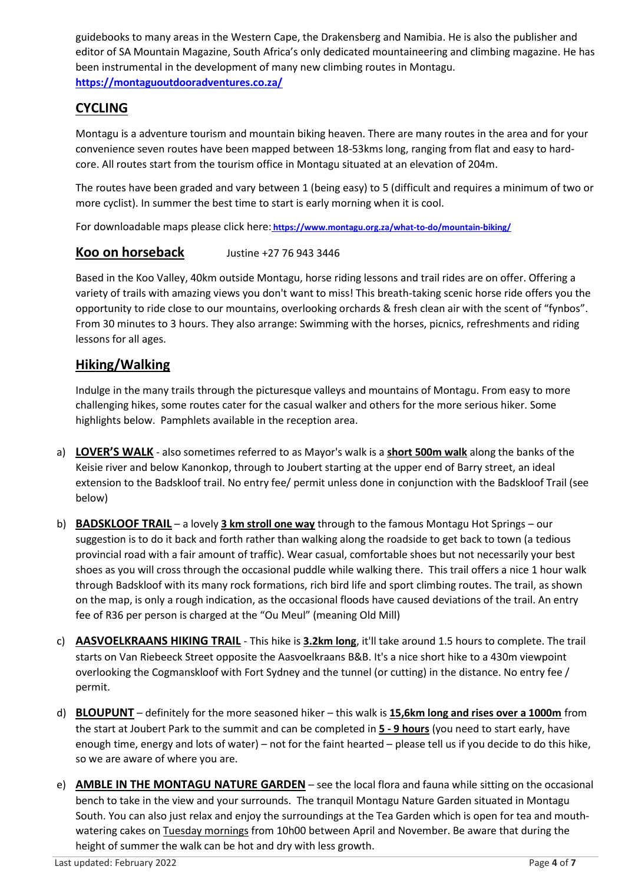guidebooks to many areas in the Western Cape, the Drakensberg and Namibia. He is also the publisher and editor of SA Mountain Magazine, South Africa's only dedicated mountaineering and climbing magazine. He has been instrumental in the development of many new climbing routes in Montagu. **<https://montaguoutdooradventures.co.za/>**

# **CYCLING**

Montagu is a adventure tourism and mountain biking heaven. There are many routes in the area and for your convenience seven routes have been mapped between 18-53kms long, ranging from flat and easy to hardcore. All routes start from the tourism office in Montagu situated at an elevation of 204m.

The routes have been graded and vary between 1 (being easy) to 5 (difficult and requires a minimum of two or more cyclist). In summer the best time to start is early morning when it is cool.

For downloadable maps please click here: **<https://www.montagu.org.za/what-to-do/mountain-biking/>**

# **Koo on horseback** Justine +27 76 943 3446

Based in the Koo Valley, 40km outside Montagu, horse riding lessons and trail rides are on offer. Offering a variety of trails with amazing views you don't want to miss! This breath-taking scenic horse ride offers you the opportunity to ride close to our mountains, overlooking orchards & fresh clean air with the scent of "fynbos". From 30 minutes to 3 hours. They also arrange: Swimming with the horses, picnics, refreshments and riding lessons for all ages.

# **Hiking/Walking**

Indulge in the many trails through the picturesque valleys and mountains of Montagu. From easy to more challenging hikes, some routes cater for the casual walker and others for the more serious hiker. Some highlights below. Pamphlets available in the reception area.

- a) **LOVER'S WALK** also sometimes referred to as Mayor's walk is a **short 500m walk** along the banks of the Keisie river and below Kanonkop, through to Joubert starting at the upper end of Barry street, an ideal extension to the Badskloof trail. No entry fee/ permit unless done in conjunction with the Badskloof Trail (see below)
- b) **BADSKLOOF TRAIL** a lovely **3 km stroll one way** through to the famous Montagu Hot Springs our suggestion is to do it back and forth rather than walking along the roadside to get back to town (a tedious provincial road with a fair amount of traffic). Wear casual, comfortable shoes but not necessarily your best shoes as you will cross through the occasional puddle while walking there. This trail offers a nice 1 hour walk through Badskloof with its many rock formations, rich bird life and sport climbing routes. The trail, as shown on the map, is only a rough indication, as the occasional floods have caused deviations of the trail. An entry fee of R36 per person is charged at the "Ou Meul" (meaning Old Mill)
- c) **AASVOELKRAANS HIKING TRAIL** This hike is **3.2km long**, it'll take around 1.5 hours to complete. The trail starts on Van Riebeeck Street opposite the Aasvoelkraans B&B. It's a nice short hike to a 430m viewpoint overlooking the Cogmanskloof with Fort Sydney and the tunnel (or cutting) in the distance. No entry fee / permit.
- d) **BLOUPUNT** definitely for the more seasoned hiker this walk is **15,6km long and rises over a 1000m** from the start at Joubert Park to the summit and can be completed in **5 - 9 hours** (you need to start early, have enough time, energy and lots of water) – not for the faint hearted – please tell us if you decide to do this hike, so we are aware of where you are.
- e) **AMBLE IN THE MONTAGU NATURE GARDEN** see the local flora and fauna while sitting on the occasional bench to take in the view and your surrounds. The tranquil Montagu Nature Garden situated in Montagu South. You can also just relax and enjoy the surroundings at the Tea Garden which is open for tea and mouthwatering cakes on Tuesday mornings from 10h00 between April and November. Be aware that during the height of summer the walk can be hot and dry with less growth.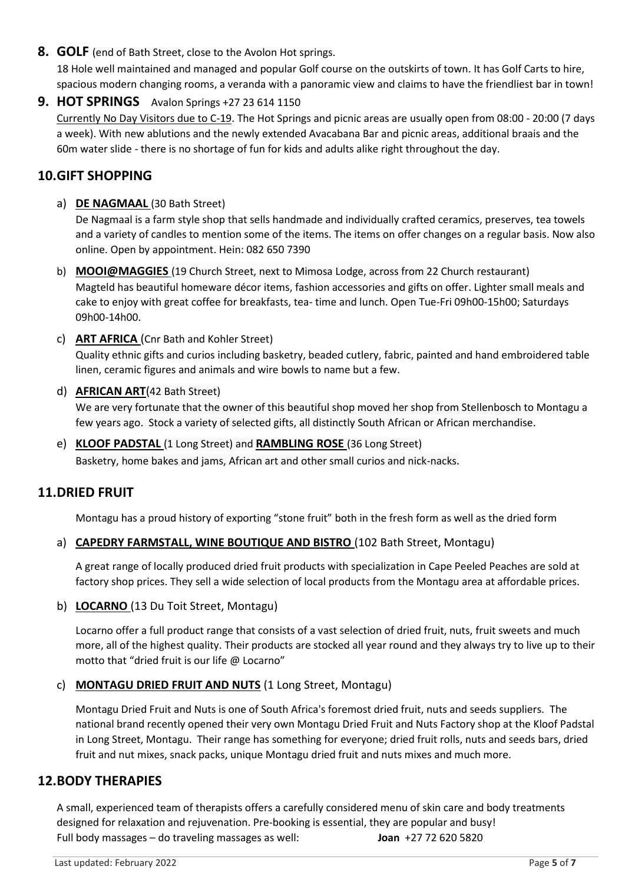**8. GOLF** (end of Bath Street, close to the Avolon Hot springs.

18 Hole well maintained and managed and popular Golf course on the outskirts of town. It has Golf Carts to hire, spacious modern changing rooms, a veranda with a panoramic view and claims to have the friendliest bar in town!

**9. HOT SPRINGS** Avalon Springs +27 23 614 1150 Currently No Day Visitors due to C-19. The Hot Springs and picnic areas are usually open from 08:00 - 20:00 (7 days a week). With new ablutions and the newly extended Avacabana Bar and picnic areas, additional braais and the 60m water slide - there is no shortage of fun for kids and adults alike right throughout the day.

# **10.GIFT SHOPPING**

a) **DE NAGMAAL** (30 Bath Street)

De Nagmaal is a farm style shop that sells handmade and individually crafted ceramics, preserves, tea towels and a variety of candles to mention some of the items. The items on offer changes on a regular basis. Now also online. Open by appointment. Hein: 082 650 7390

b) **MOOI@MAGGIES** (19 Church Street, next to Mimosa Lodge, across from 22 Church restaurant) Magteld has beautiful homeware décor items, fashion accessories and gifts on offer. Lighter small meals and cake to enjoy with great coffee for breakfasts, tea- time and lunch. Open Tue-Fri 09h00-15h00; Saturdays 09h00-14h00.

c) **ART AFRICA** (Cnr Bath and Kohler Street)

Quality ethnic gifts and curios including basketry, beaded cutlery, fabric, painted and hand embroidered table linen, ceramic figures and animals and wire bowls to name but a few.

#### d) **AFRICAN ART**(42 Bath Street)

We are very fortunate that the owner of this beautiful shop moved her shop from Stellenbosch to Montagu a few years ago. Stock a variety of selected gifts, all distinctly South African or African merchandise.

e) **KLOOF PADSTAL** (1 Long Street) and **RAMBLING ROSE** (36 Long Street) Basketry, home bakes and jams, African art and other small curios and nick-nacks.

### **11.DRIED FRUIT**

Montagu has a proud history of exporting "stone fruit" both in the fresh form as well as the dried form

#### a) **CAPEDRY FARMSTALL, WINE BOUTIQUE AND BISTRO** (102 Bath Street, Montagu)

A great range of locally produced dried fruit products with specialization in Cape Peeled Peaches are sold at factory shop prices. They sell a wide selection of local products from the Montagu area at affordable prices.

b) **LOCARNO** (13 Du Toit Street, Montagu)

Locarno offer a full product range that consists of a vast selection of dried fruit, nuts, fruit sweets and much more, all of the highest quality. Their products are stocked all year round and they always try to live up to their motto that "dried fruit is our life @ Locarno"

### c) **MONTAGU DRIED FRUIT AND NUTS** (1 Long Street, Montagu)

Montagu Dried Fruit and Nuts is one of South Africa's foremost dried fruit, nuts and seeds suppliers. The national brand recently opened their very own Montagu Dried Fruit and Nuts Factory shop at the Kloof Padstal in Long Street, Montagu. Their range has something for everyone; dried fruit rolls, nuts and seeds bars, dried fruit and nut mixes, snack packs, unique Montagu dried fruit and nuts mixes and much more.

### **12.BODY THERAPIES**

A small, experienced team of therapists offers a carefully considered menu of skin care and body treatments designed for relaxation and rejuvenation. Pre-booking is essential, they are popular and busy! Full body massages – do traveling massages as well: **Joan** +27 72 620 5820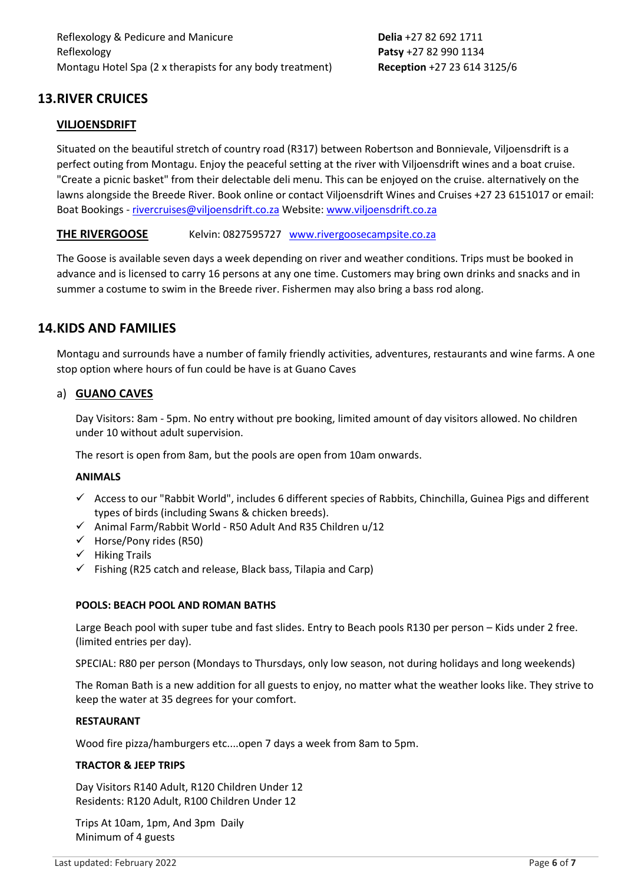# **13.RIVER CRUICES**

### **VILJOENSDRIFT**

Situated on the beautiful stretch of country road (R317) between Robertson and Bonnievale, Viljoensdrift is a perfect outing from Montagu. Enjoy the peaceful setting at the river with Viljoensdrift wines and a boat cruise. "Create a picnic basket" from their delectable deli menu. This can be enjoyed on the cruise. alternatively on the lawns alongside the Breede River. Book online or contact Viljoensdrift Wines and Cruises +27 23 6151017 or email: Boat Bookings - [rivercruises@viljoensdrift.co.za](mailto:rivercruises@viljoensdrift.co.za) Website: [www.viljoensdrift.co.za](http://www.viljoensdrift.co.za/)

#### **THE RIVERGOOSE** Kelvin: 0827595727 [www.rivergoosecampsite.co.za](http://www.rivergoosecampsite.co.za/)

The Goose is available seven days a week depending on river and weather conditions. Trips must be booked in advance and is licensed to carry 16 persons at any one time. Customers may bring own drinks and snacks and in summer a costume to swim in the Breede river. Fishermen may also bring a bass rod along.

## **14.KIDS AND FAMILIES**

Montagu and surrounds have a number of family friendly activities, adventures, restaurants and wine farms. A one stop option where hours of fun could be have is at Guano Caves

#### a) **GUANO CAVES**

Day Visitors: 8am - 5pm. No entry without pre booking, limited amount of day visitors allowed. No children under 10 without adult supervision.

The resort is open from 8am, but the pools are open from 10am onwards.

#### **ANIMALS**

- ✓ Access to our "Rabbit World", includes 6 different species of Rabbits, Chinchilla, Guinea Pigs and different types of birds (including Swans & chicken breeds).
- $\checkmark$  Animal Farm/Rabbit World R50 Adult And R35 Children u/12
- $\checkmark$  Horse/Pony rides (R50)
- ✓ Hiking Trails
- $\checkmark$  Fishing (R25 catch and release, Black bass, Tilapia and Carp)

#### **POOLS: BEACH POOL AND ROMAN BATHS**

Large Beach pool with super tube and fast slides. Entry to Beach pools R130 per person – Kids under 2 free. (limited entries per day).

SPECIAL: R80 per person (Mondays to Thursdays, only low season, not during holidays and long weekends)

The Roman Bath is a new addition for all guests to enjoy, no matter what the weather looks like. They strive to keep the water at 35 degrees for your comfort.

#### **RESTAURANT**

Wood fire pizza/hamburgers etc....open 7 days a week from 8am to 5pm.

#### **TRACTOR & JEEP TRIPS**

Day Visitors R140 Adult, R120 Children Under 12 Residents: R120 Adult, R100 Children Under 12

Trips At 10am, 1pm, And 3pm Daily Minimum of 4 guests